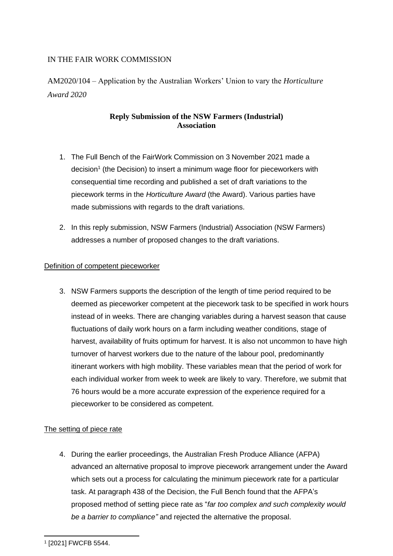# IN THE FAIR WORK COMMISSION

AM2020/104 – Application by the Australian Workers' Union to vary the *Horticulture Award 2020*

# **Reply Submission of the NSW Farmers (Industrial) Association**

- 1. The Full Bench of the FairWork Commission on 3 November 2021 made a decision<sup>1</sup> (the Decision) to insert a minimum wage floor for pieceworkers with consequential time recording and published a set of draft variations to the piecework terms in the *Horticulture Award* (the Award). Various parties have made submissions with regards to the draft variations.
- 2. In this reply submission, NSW Farmers (Industrial) Association (NSW Farmers) addresses a number of proposed changes to the draft variations.

## Definition of competent pieceworker

3. NSW Farmers supports the description of the length of time period required to be deemed as pieceworker competent at the piecework task to be specified in work hours instead of in weeks. There are changing variables during a harvest season that cause fluctuations of daily work hours on a farm including weather conditions, stage of harvest, availability of fruits optimum for harvest. It is also not uncommon to have high turnover of harvest workers due to the nature of the labour pool, predominantly itinerant workers with high mobility. These variables mean that the period of work for each individual worker from week to week are likely to vary. Therefore, we submit that 76 hours would be a more accurate expression of the experience required for a pieceworker to be considered as competent.

## The setting of piece rate

4. During the earlier proceedings, the Australian Fresh Produce Alliance (AFPA) advanced an alternative proposal to improve piecework arrangement under the Award which sets out a process for calculating the minimum piecework rate for a particular task. At paragraph 438 of the Decision, the Full Bench found that the AFPA's proposed method of setting piece rate as "*far too complex and such complexity would be a barrier to compliance"* and rejected the alternative the proposal.

<sup>1</sup> [2021] FWCFB 5544.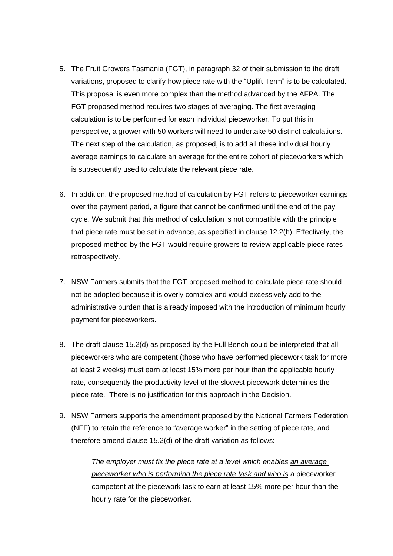- 5. The Fruit Growers Tasmania (FGT), in paragraph 32 of their submission to the draft variations, proposed to clarify how piece rate with the "Uplift Term" is to be calculated. This proposal is even more complex than the method advanced by the AFPA. The FGT proposed method requires two stages of averaging. The first averaging calculation is to be performed for each individual pieceworker. To put this in perspective, a grower with 50 workers will need to undertake 50 distinct calculations. The next step of the calculation, as proposed, is to add all these individual hourly average earnings to calculate an average for the entire cohort of pieceworkers which is subsequently used to calculate the relevant piece rate.
- 6. In addition, the proposed method of calculation by FGT refers to pieceworker earnings over the payment period, a figure that cannot be confirmed until the end of the pay cycle. We submit that this method of calculation is not compatible with the principle that piece rate must be set in advance, as specified in clause 12.2(h). Effectively, the proposed method by the FGT would require growers to review applicable piece rates retrospectively.
- 7. NSW Farmers submits that the FGT proposed method to calculate piece rate should not be adopted because it is overly complex and would excessively add to the administrative burden that is already imposed with the introduction of minimum hourly payment for pieceworkers.
- 8. The draft clause 15.2(d) as proposed by the Full Bench could be interpreted that all pieceworkers who are competent (those who have performed piecework task for more at least 2 weeks) must earn at least 15% more per hour than the applicable hourly rate, consequently the productivity level of the slowest piecework determines the piece rate. There is no justification for this approach in the Decision.
- 9. NSW Farmers supports the amendment proposed by the National Farmers Federation (NFF) to retain the reference to "average worker" in the setting of piece rate, and therefore amend clause 15.2(d) of the draft variation as follows:

*The employer must fix the piece rate at a level which enables an average pieceworker who is performing the piece rate task and who is* a pieceworker competent at the piecework task to earn at least 15% more per hour than the hourly rate for the pieceworker.